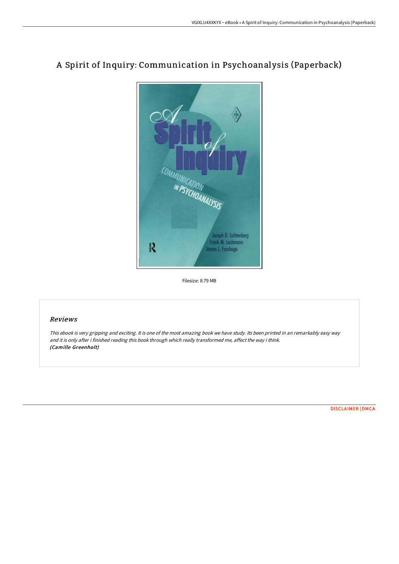

# A Spirit of Inquiry: Communication in Psychoanalysis (Paperback)

Filesize: 8.79 MB

### Reviews

This ebook is very gripping and exciting. It is one of the most amazing book we have study. Its been printed in an remarkably easy way and it is only after i finished reading this book through which really transformed me, affect the way i think. (Camille Greenholt)

[DISCLAIMER](http://www.bookdirs.com/disclaimer.html) | [DMCA](http://www.bookdirs.com/dmca.html)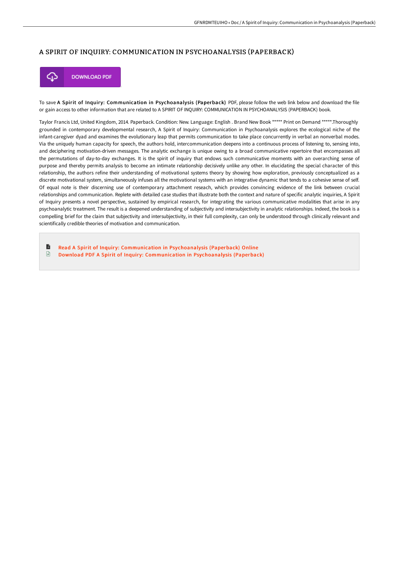#### A SPIRIT OF INQUIRY: COMMUNICATION IN PSYCHOANALYSIS (PAPERBACK)



**DOWNLOAD PDF** 

To save A Spirit of Inquiry: Communication in Psychoanalysis (Paperback) PDF, please follow the web link below and download the file or gain access to other information that are related to A SPIRIT OF INQUIRY: COMMUNICATION IN PSYCHOANALYSIS (PAPERBACK) book.

Taylor Francis Ltd, United Kingdom, 2014. Paperback. Condition: New. Language: English . Brand New Book \*\*\*\*\* Print on Demand \*\*\*\*\*.Thoroughly grounded in contemporary developmental research, A Spirit of Inquiry: Communication in Psychoanalysis explores the ecological niche of the infant-caregiver dyad and examines the evolutionary leap that permits communication to take place concurrently in verbal an nonverbal modes. Via the uniquely human capacity for speech, the authors hold, intercommunication deepens into a continuous process of listening to, sensing into, and deciphering motivation-driven messages. The analytic exchange is unique owing to a broad communicative repertoire that encompasses all the permutations of day-to-day exchanges. It is the spirit of inquiry that endows such communicative moments with an overarching sense of purpose and thereby permits analysis to become an intimate relationship decisively unlike any other. In elucidating the special character of this relationship, the authors refine their understanding of motivational systems theory by showing how exploration, previously conceptualized as a discrete motivational system, simultaneously infuses all the motivational systems with an integrative dynamic that tends to a cohesive sense of self. Of equal note is their discerning use of contemporary attachment reseach, which provides convincing evidence of the link between crucial relationships and communication. Replete with detailed case studies that illustrate both the context and nature of specific analytic inquiries, A Spirit of Inquiry presents a novel perspective, sustained by empirical research, for integrating the various communicative modalities that arise in any psychoanalytic treatment. The result is a deepened understanding of subjectivity and intersubjectivity in analytic relationships. Indeed, the book is a compelling brief for the claim that subjectivity and intersubjectivity, in their full complexity, can only be understood through clinically relevant and scientifically credible theories of motivation and communication.

B Read A Spirit of Inquiry: [Communication](http://www.bookdirs.com/a-spirit-of-inquiry-communication-in-psychoanaly.html) in Psychoanalysis (Paperback) Online  $\mathbf{r}$ Download PDF A Spirit of Inquiry: [Communication](http://www.bookdirs.com/a-spirit-of-inquiry-communication-in-psychoanaly.html) in Psychoanalysis (Paperback)